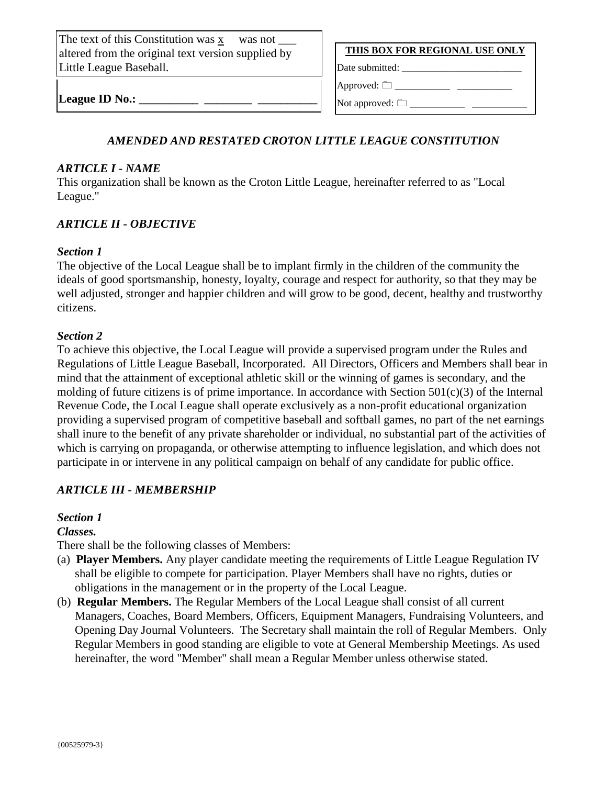The text of this Constitution was x was not altered from the original text version supplied by Little League Baseball.

**THIS BOX FOR REGIONAL USE ONLY**

Approved:  $\Box$ 

Date submitted: \_\_\_\_\_\_\_\_\_\_\_\_\_\_\_\_\_\_\_\_\_\_\_\_

League **ID** No.:

Not approved:  $\Box$ 

# *AMENDED AND RESTATED CROTON LITTLE LEAGUE CONSTITUTION*

#### *ARTICLE I - NAME*

This organization shall be known as the Croton Little League, hereinafter referred to as "Local League."

## *ARTICLE II - OBJECTIVE*

#### *Section 1*

The objective of the Local League shall be to implant firmly in the children of the community the ideals of good sportsmanship, honesty, loyalty, courage and respect for authority, so that they may be well adjusted, stronger and happier children and will grow to be good, decent, healthy and trustworthy citizens.

#### *Section 2*

To achieve this objective, the Local League will provide a supervised program under the Rules and Regulations of Little League Baseball, Incorporated. All Directors, Officers and Members shall bear in mind that the attainment of exceptional athletic skill or the winning of games is secondary, and the molding of future citizens is of prime importance. In accordance with Section 501(c)(3) of the Internal Revenue Code, the Local League shall operate exclusively as a non-profit educational organization providing a supervised program of competitive baseball and softball games, no part of the net earnings shall inure to the benefit of any private shareholder or individual, no substantial part of the activities of which is carrying on propaganda, or otherwise attempting to influence legislation, and which does not participate in or intervene in any political campaign on behalf of any candidate for public office.

# *ARTICLE III - MEMBERSHIP*

## *Section 1*

*Classes.*

There shall be the following classes of Members:

- (a) **Player Members.** Any player candidate meeting the requirements of Little League Regulation IV shall be eligible to compete for participation. Player Members shall have no rights, duties or obligations in the management or in the property of the Local League.
- (b) **Regular Members.** The Regular Members of the Local League shall consist of all current Managers, Coaches, Board Members, Officers, Equipment Managers, Fundraising Volunteers, and Opening Day Journal Volunteers. The Secretary shall maintain the roll of Regular Members. Only Regular Members in good standing are eligible to vote at General Membership Meetings. As used hereinafter, the word "Member" shall mean a Regular Member unless otherwise stated.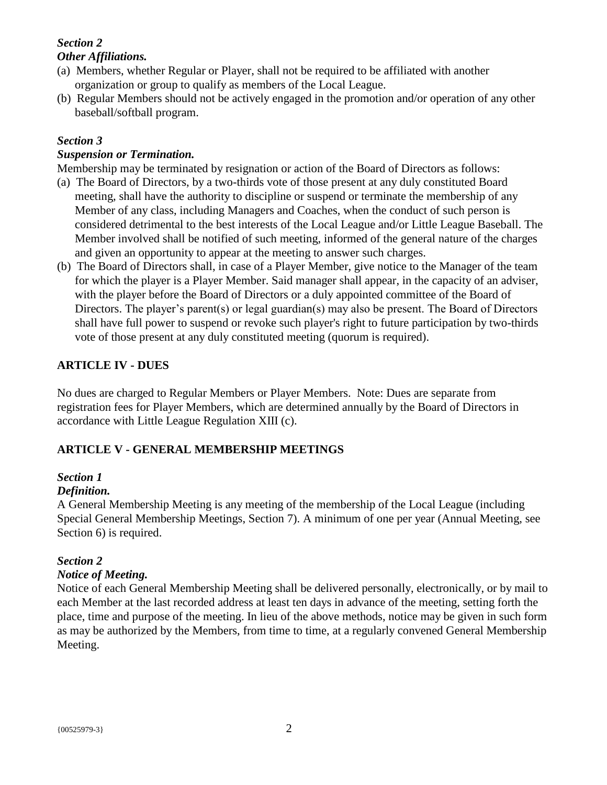# *Section 2 Other Affiliations.*

- (a) Members, whether Regular or Player, shall not be required to be affiliated with another organization or group to qualify as members of the Local League.
- (b) Regular Members should not be actively engaged in the promotion and/or operation of any other baseball/softball program.

# *Section 3*

## *Suspension or Termination.*

Membership may be terminated by resignation or action of the Board of Directors as follows:

- (a) The Board of Directors, by a two-thirds vote of those present at any duly constituted Board meeting, shall have the authority to discipline or suspend or terminate the membership of any Member of any class, including Managers and Coaches, when the conduct of such person is considered detrimental to the best interests of the Local League and/or Little League Baseball. The Member involved shall be notified of such meeting, informed of the general nature of the charges and given an opportunity to appear at the meeting to answer such charges.
- (b) The Board of Directors shall, in case of a Player Member, give notice to the Manager of the team for which the player is a Player Member. Said manager shall appear, in the capacity of an adviser, with the player before the Board of Directors or a duly appointed committee of the Board of Directors. The player's parent(s) or legal guardian(s) may also be present. The Board of Directors shall have full power to suspend or revoke such player's right to future participation by two-thirds vote of those present at any duly constituted meeting (quorum is required).

# **ARTICLE IV - DUES**

No dues are charged to Regular Members or Player Members. Note: Dues are separate from registration fees for Player Members, which are determined annually by the Board of Directors in accordance with Little League Regulation XIII (c).

## **ARTICLE V - GENERAL MEMBERSHIP MEETINGS**

## *Section 1*

## *Definition.*

A General Membership Meeting is any meeting of the membership of the Local League (including Special General Membership Meetings, Section 7). A minimum of one per year (Annual Meeting, see Section 6) is required.

#### *Section 2*

## *Notice of Meeting.*

Notice of each General Membership Meeting shall be delivered personally, electronically, or by mail to each Member at the last recorded address at least ten days in advance of the meeting, setting forth the place, time and purpose of the meeting. In lieu of the above methods, notice may be given in such form as may be authorized by the Members, from time to time, at a regularly convened General Membership Meeting.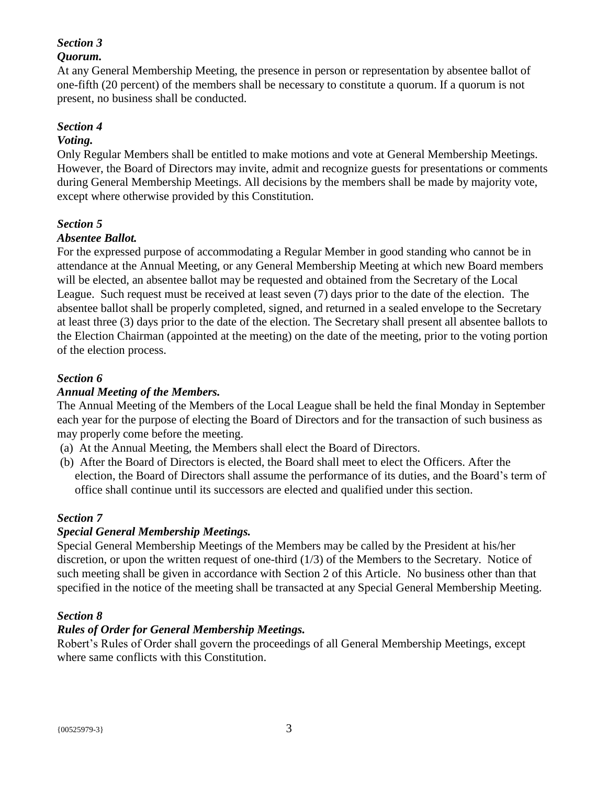# *Section 3*

# *Quorum.*

At any General Membership Meeting, the presence in person or representation by absentee ballot of one-fifth (20 percent) of the members shall be necessary to constitute a quorum. If a quorum is not present, no business shall be conducted.

## *Section 4*

### *Voting.*

Only Regular Members shall be entitled to make motions and vote at General Membership Meetings. However, the Board of Directors may invite, admit and recognize guests for presentations or comments during General Membership Meetings. All decisions by the members shall be made by majority vote, except where otherwise provided by this Constitution.

# *Section 5*

## *Absentee Ballot.*

For the expressed purpose of accommodating a Regular Member in good standing who cannot be in attendance at the Annual Meeting, or any General Membership Meeting at which new Board members will be elected, an absentee ballot may be requested and obtained from the Secretary of the Local League. Such request must be received at least seven (7) days prior to the date of the election. The absentee ballot shall be properly completed, signed, and returned in a sealed envelope to the Secretary at least three (3) days prior to the date of the election. The Secretary shall present all absentee ballots to the Election Chairman (appointed at the meeting) on the date of the meeting, prior to the voting portion of the election process.

# *Section 6*

# *Annual Meeting of the Members.*

The Annual Meeting of the Members of the Local League shall be held the final Monday in September each year for the purpose of electing the Board of Directors and for the transaction of such business as may properly come before the meeting.

- (a) At the Annual Meeting, the Members shall elect the Board of Directors.
- (b) After the Board of Directors is elected, the Board shall meet to elect the Officers. After the election, the Board of Directors shall assume the performance of its duties, and the Board's term of office shall continue until its successors are elected and qualified under this section.

## *Section 7*

## *Special General Membership Meetings.*

Special General Membership Meetings of the Members may be called by the President at his/her discretion, or upon the written request of one-third (1/3) of the Members to the Secretary. Notice of such meeting shall be given in accordance with Section 2 of this Article. No business other than that specified in the notice of the meeting shall be transacted at any Special General Membership Meeting.

## *Section 8*

## *Rules of Order for General Membership Meetings.*

Robert's Rules of Order shall govern the proceedings of all General Membership Meetings, except where same conflicts with this Constitution.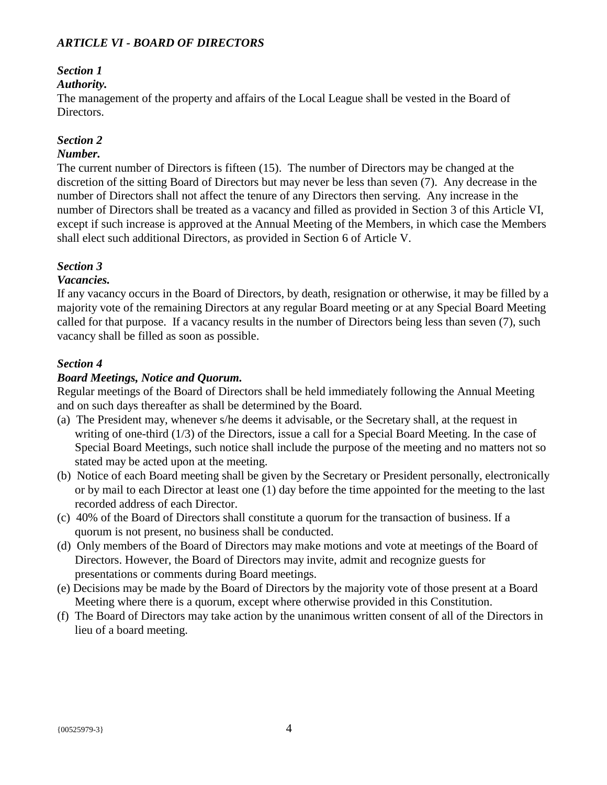## *ARTICLE VI - BOARD OF DIRECTORS*

# *Section 1*

### *Authority.*

The management of the property and affairs of the Local League shall be vested in the Board of Directors.

# *Section 2*

## *Number.*

The current number of Directors is fifteen (15). The number of Directors may be changed at the discretion of the sitting Board of Directors but may never be less than seven (7). Any decrease in the number of Directors shall not affect the tenure of any Directors then serving. Any increase in the number of Directors shall be treated as a vacancy and filled as provided in Section 3 of this Article VI, except if such increase is approved at the Annual Meeting of the Members, in which case the Members shall elect such additional Directors, as provided in Section 6 of Article V.

## *Section 3*

#### *Vacancies.*

If any vacancy occurs in the Board of Directors, by death, resignation or otherwise, it may be filled by a majority vote of the remaining Directors at any regular Board meeting or at any Special Board Meeting called for that purpose. If a vacancy results in the number of Directors being less than seven (7), such vacancy shall be filled as soon as possible.

#### *Section 4*

#### *Board Meetings, Notice and Quorum.*

Regular meetings of the Board of Directors shall be held immediately following the Annual Meeting and on such days thereafter as shall be determined by the Board.

- (a) The President may, whenever s/he deems it advisable, or the Secretary shall, at the request in writing of one-third (1/3) of the Directors, issue a call for a Special Board Meeting. In the case of Special Board Meetings, such notice shall include the purpose of the meeting and no matters not so stated may be acted upon at the meeting.
- (b) Notice of each Board meeting shall be given by the Secretary or President personally, electronically or by mail to each Director at least one (1) day before the time appointed for the meeting to the last recorded address of each Director.
- (c) 40% of the Board of Directors shall constitute a quorum for the transaction of business. If a quorum is not present, no business shall be conducted.
- (d) Only members of the Board of Directors may make motions and vote at meetings of the Board of Directors. However, the Board of Directors may invite, admit and recognize guests for presentations or comments during Board meetings.
- (e) Decisions may be made by the Board of Directors by the majority vote of those present at a Board Meeting where there is a quorum, except where otherwise provided in this Constitution.
- (f) The Board of Directors may take action by the unanimous written consent of all of the Directors in lieu of a board meeting.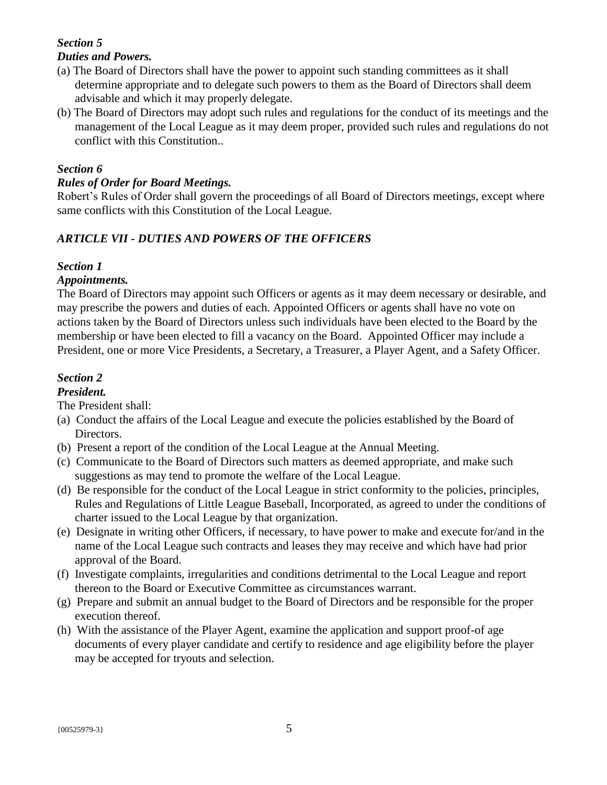#### *Section 5 Duties and Powers.*

- (a) The Board of Directors shall have the power to appoint such standing committees as it shall determine appropriate and to delegate such powers to them as the Board of Directors shall deem advisable and which it may properly delegate.
- (b) The Board of Directors may adopt such rules and regulations for the conduct of its meetings and the management of the Local League as it may deem proper, provided such rules and regulations do not conflict with this Constitution..

### *Section 6*

### *Rules of Order for Board Meetings.*

Robert's Rules of Order shall govern the proceedings of all Board of Directors meetings, except where same conflicts with this Constitution of the Local League.

## *ARTICLE VII - DUTIES AND POWERS OF THE OFFICERS*

#### *Section 1*

#### *Appointments.*

The Board of Directors may appoint such Officers or agents as it may deem necessary or desirable, and may prescribe the powers and duties of each. Appointed Officers or agents shall have no vote on actions taken by the Board of Directors unless such individuals have been elected to the Board by the membership or have been elected to fill a vacancy on the Board. Appointed Officer may include a President, one or more Vice Presidents, a Secretary, a Treasurer, a Player Agent, and a Safety Officer.

# *Section 2*

## *President.*

The President shall:

- (a) Conduct the affairs of the Local League and execute the policies established by the Board of Directors.
- (b) Present a report of the condition of the Local League at the Annual Meeting.
- (c) Communicate to the Board of Directors such matters as deemed appropriate, and make such suggestions as may tend to promote the welfare of the Local League.
- (d) Be responsible for the conduct of the Local League in strict conformity to the policies, principles, Rules and Regulations of Little League Baseball, Incorporated, as agreed to under the conditions of charter issued to the Local League by that organization.
- (e) Designate in writing other Officers, if necessary, to have power to make and execute for/and in the name of the Local League such contracts and leases they may receive and which have had prior approval of the Board.
- (f) Investigate complaints, irregularities and conditions detrimental to the Local League and report thereon to the Board or Executive Committee as circumstances warrant.
- (g) Prepare and submit an annual budget to the Board of Directors and be responsible for the proper execution thereof.
- (h) With the assistance of the Player Agent, examine the application and support proof-of age documents of every player candidate and certify to residence and age eligibility before the player may be accepted for tryouts and selection.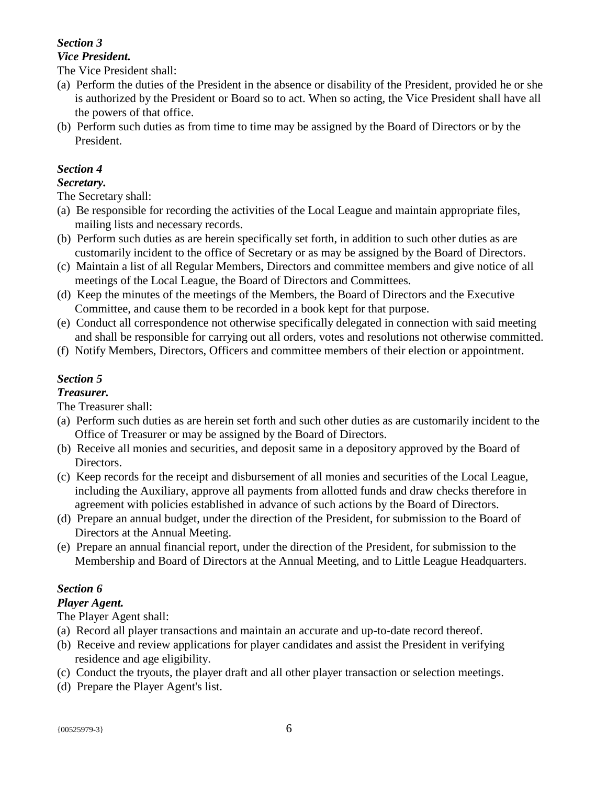# *Section 3*

#### *Vice President.*

The Vice President shall:

- (a) Perform the duties of the President in the absence or disability of the President, provided he or she is authorized by the President or Board so to act. When so acting, the Vice President shall have all the powers of that office.
- (b) Perform such duties as from time to time may be assigned by the Board of Directors or by the President.

# *Section 4*

### *Secretary.*

The Secretary shall:

- (a) Be responsible for recording the activities of the Local League and maintain appropriate files, mailing lists and necessary records.
- (b) Perform such duties as are herein specifically set forth, in addition to such other duties as are customarily incident to the office of Secretary or as may be assigned by the Board of Directors.
- (c) Maintain a list of all Regular Members, Directors and committee members and give notice of all meetings of the Local League, the Board of Directors and Committees.
- (d) Keep the minutes of the meetings of the Members, the Board of Directors and the Executive Committee, and cause them to be recorded in a book kept for that purpose.
- (e) Conduct all correspondence not otherwise specifically delegated in connection with said meeting and shall be responsible for carrying out all orders, votes and resolutions not otherwise committed.
- (f) Notify Members, Directors, Officers and committee members of their election or appointment.

# *Section 5*

# *Treasurer.*

The Treasurer shall:

- (a) Perform such duties as are herein set forth and such other duties as are customarily incident to the Office of Treasurer or may be assigned by the Board of Directors.
- (b) Receive all monies and securities, and deposit same in a depository approved by the Board of Directors.
- (c) Keep records for the receipt and disbursement of all monies and securities of the Local League, including the Auxiliary, approve all payments from allotted funds and draw checks therefore in agreement with policies established in advance of such actions by the Board of Directors.
- (d) Prepare an annual budget, under the direction of the President, for submission to the Board of Directors at the Annual Meeting.
- (e) Prepare an annual financial report, under the direction of the President, for submission to the Membership and Board of Directors at the Annual Meeting, and to Little League Headquarters.

# *Section 6*

# *Player Agent.*

The Player Agent shall:

- (a) Record all player transactions and maintain an accurate and up-to-date record thereof.
- (b) Receive and review applications for player candidates and assist the President in verifying residence and age eligibility.
- (c) Conduct the tryouts, the player draft and all other player transaction or selection meetings.
- (d) Prepare the Player Agent's list.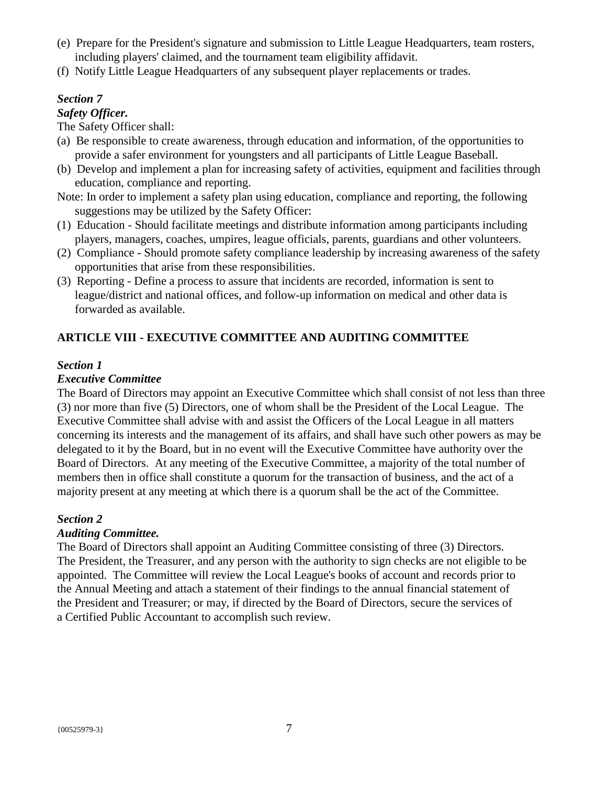- (e) Prepare for the President's signature and submission to Little League Headquarters, team rosters, including players' claimed, and the tournament team eligibility affidavit.
- (f) Notify Little League Headquarters of any subsequent player replacements or trades.

# *Section 7*

## *Safety Officer.*

The Safety Officer shall:

- (a) Be responsible to create awareness, through education and information, of the opportunities to provide a safer environment for youngsters and all participants of Little League Baseball.
- (b) Develop and implement a plan for increasing safety of activities, equipment and facilities through education, compliance and reporting.

Note: In order to implement a safety plan using education, compliance and reporting, the following suggestions may be utilized by the Safety Officer:

- (1) Education Should facilitate meetings and distribute information among participants including players, managers, coaches, umpires, league officials, parents, guardians and other volunteers.
- (2) Compliance Should promote safety compliance leadership by increasing awareness of the safety opportunities that arise from these responsibilities.
- (3) Reporting Define a process to assure that incidents are recorded, information is sent to league/district and national offices, and follow-up information on medical and other data is forwarded as available.

# **ARTICLE VIII - EXECUTIVE COMMITTEE AND AUDITING COMMITTEE**

#### *Section 1*

#### *Executive Committee*

The Board of Directors may appoint an Executive Committee which shall consist of not less than three (3) nor more than five (5) Directors, one of whom shall be the President of the Local League. The Executive Committee shall advise with and assist the Officers of the Local League in all matters concerning its interests and the management of its affairs, and shall have such other powers as may be delegated to it by the Board, but in no event will the Executive Committee have authority over the Board of Directors. At any meeting of the Executive Committee, a majority of the total number of members then in office shall constitute a quorum for the transaction of business, and the act of a majority present at any meeting at which there is a quorum shall be the act of the Committee.

## *Section 2*

## *Auditing Committee.*

The Board of Directors shall appoint an Auditing Committee consisting of three (3) Directors. The President, the Treasurer, and any person with the authority to sign checks are not eligible to be appointed. The Committee will review the Local League's books of account and records prior to the Annual Meeting and attach a statement of their findings to the annual financial statement of the President and Treasurer; or may, if directed by the Board of Directors, secure the services of a Certified Public Accountant to accomplish such review.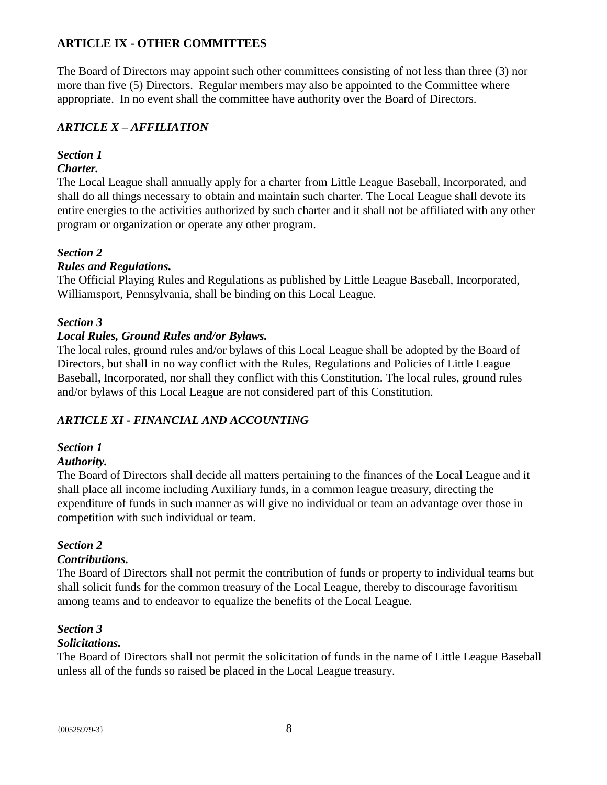# **ARTICLE IX - OTHER COMMITTEES**

The Board of Directors may appoint such other committees consisting of not less than three (3) nor more than five (5) Directors. Regular members may also be appointed to the Committee where appropriate. In no event shall the committee have authority over the Board of Directors.

# *ARTICLE X – AFFILIATION*

# *Section 1*

# *Charter.*

The Local League shall annually apply for a charter from Little League Baseball, Incorporated, and shall do all things necessary to obtain and maintain such charter. The Local League shall devote its entire energies to the activities authorized by such charter and it shall not be affiliated with any other program or organization or operate any other program.

# *Section 2*

# *Rules and Regulations.*

The Official Playing Rules and Regulations as published by Little League Baseball, Incorporated, Williamsport, Pennsylvania, shall be binding on this Local League.

# *Section 3*

# *Local Rules, Ground Rules and/or Bylaws.*

The local rules, ground rules and/or bylaws of this Local League shall be adopted by the Board of Directors, but shall in no way conflict with the Rules, Regulations and Policies of Little League Baseball, Incorporated, nor shall they conflict with this Constitution. The local rules, ground rules and/or bylaws of this Local League are not considered part of this Constitution.

# *ARTICLE XI - FINANCIAL AND ACCOUNTING*

## *Section 1*

## *Authority.*

The Board of Directors shall decide all matters pertaining to the finances of the Local League and it shall place all income including Auxiliary funds, in a common league treasury, directing the expenditure of funds in such manner as will give no individual or team an advantage over those in competition with such individual or team.

## *Section 2*

## *Contributions.*

The Board of Directors shall not permit the contribution of funds or property to individual teams but shall solicit funds for the common treasury of the Local League, thereby to discourage favoritism among teams and to endeavor to equalize the benefits of the Local League.

# *Section 3*

## *Solicitations.*

The Board of Directors shall not permit the solicitation of funds in the name of Little League Baseball unless all of the funds so raised be placed in the Local League treasury.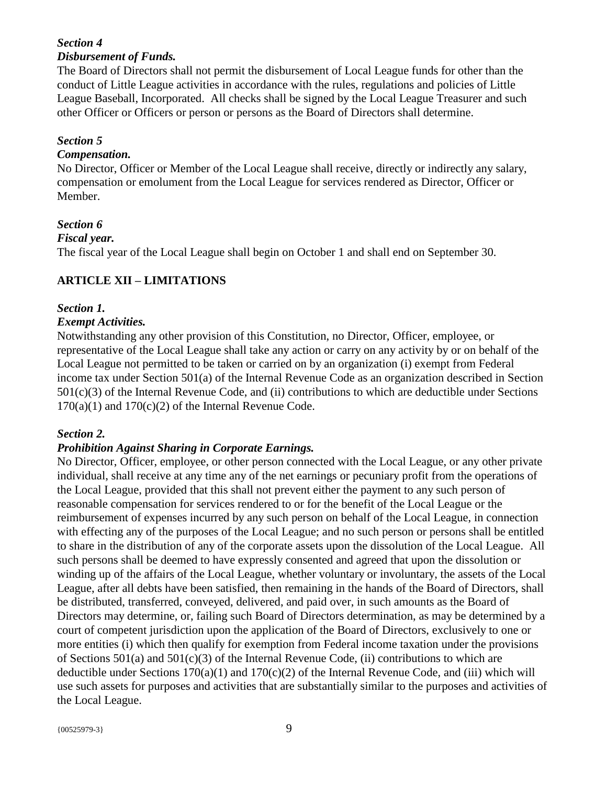# *Section 4 Disbursement of Funds.*

The Board of Directors shall not permit the disbursement of Local League funds for other than the conduct of Little League activities in accordance with the rules, regulations and policies of Little League Baseball, Incorporated. All checks shall be signed by the Local League Treasurer and such other Officer or Officers or person or persons as the Board of Directors shall determine.

# *Section 5*

### *Compensation.*

No Director, Officer or Member of the Local League shall receive, directly or indirectly any salary, compensation or emolument from the Local League for services rendered as Director, Officer or Member.

## *Section 6*

#### *Fiscal year.*

The fiscal year of the Local League shall begin on October 1 and shall end on September 30.

# **ARTICLE XII – LIMITATIONS**

# *Section 1.*

#### *Exempt Activities.*

Notwithstanding any other provision of this Constitution, no Director, Officer, employee, or representative of the Local League shall take any action or carry on any activity by or on behalf of the Local League not permitted to be taken or carried on by an organization (i) exempt from Federal income tax under Section 501(a) of the Internal Revenue Code as an organization described in Section 501(c)(3) of the Internal Revenue Code, and (ii) contributions to which are deductible under Sections  $170(a)(1)$  and  $170(c)(2)$  of the Internal Revenue Code.

## *Section 2.*

## *Prohibition Against Sharing in Corporate Earnings.*

No Director, Officer, employee, or other person connected with the Local League, or any other private individual, shall receive at any time any of the net earnings or pecuniary profit from the operations of the Local League, provided that this shall not prevent either the payment to any such person of reasonable compensation for services rendered to or for the benefit of the Local League or the reimbursement of expenses incurred by any such person on behalf of the Local League, in connection with effecting any of the purposes of the Local League; and no such person or persons shall be entitled to share in the distribution of any of the corporate assets upon the dissolution of the Local League. All such persons shall be deemed to have expressly consented and agreed that upon the dissolution or winding up of the affairs of the Local League, whether voluntary or involuntary, the assets of the Local League, after all debts have been satisfied, then remaining in the hands of the Board of Directors, shall be distributed, transferred, conveyed, delivered, and paid over, in such amounts as the Board of Directors may determine, or, failing such Board of Directors determination, as may be determined by a court of competent jurisdiction upon the application of the Board of Directors, exclusively to one or more entities (i) which then qualify for exemption from Federal income taxation under the provisions of Sections  $501(a)$  and  $501(c)(3)$  of the Internal Revenue Code, (ii) contributions to which are deductible under Sections  $170(a)(1)$  and  $170(c)(2)$  of the Internal Revenue Code, and (iii) which will use such assets for purposes and activities that are substantially similar to the purposes and activities of the Local League.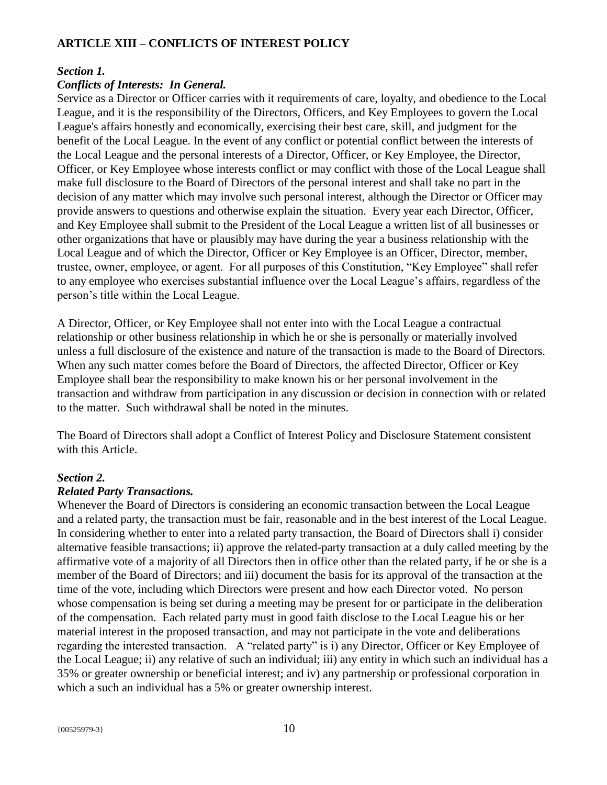# **ARTICLE XIII – CONFLICTS OF INTEREST POLICY**

#### *Section 1.*

# *Conflicts of Interests: In General.*

Service as a Director or Officer carries with it requirements of care, loyalty, and obedience to the Local League, and it is the responsibility of the Directors, Officers, and Key Employees to govern the Local League's affairs honestly and economically, exercising their best care, skill, and judgment for the benefit of the Local League. In the event of any conflict or potential conflict between the interests of the Local League and the personal interests of a Director, Officer, or Key Employee, the Director, Officer, or Key Employee whose interests conflict or may conflict with those of the Local League shall make full disclosure to the Board of Directors of the personal interest and shall take no part in the decision of any matter which may involve such personal interest, although the Director or Officer may provide answers to questions and otherwise explain the situation. Every year each Director, Officer, and Key Employee shall submit to the President of the Local League a written list of all businesses or other organizations that have or plausibly may have during the year a business relationship with the Local League and of which the Director, Officer or Key Employee is an Officer, Director, member, trustee, owner, employee, or agent. For all purposes of this Constitution, "Key Employee" shall refer to any employee who exercises substantial influence over the Local League's affairs, regardless of the person's title within the Local League.

A Director, Officer, or Key Employee shall not enter into with the Local League a contractual relationship or other business relationship in which he or she is personally or materially involved unless a full disclosure of the existence and nature of the transaction is made to the Board of Directors. When any such matter comes before the Board of Directors, the affected Director, Officer or Key Employee shall bear the responsibility to make known his or her personal involvement in the transaction and withdraw from participation in any discussion or decision in connection with or related to the matter. Such withdrawal shall be noted in the minutes.

The Board of Directors shall adopt a Conflict of Interest Policy and Disclosure Statement consistent with this Article.

#### *Section 2.*

## *Related Party Transactions.*

Whenever the Board of Directors is considering an economic transaction between the Local League and a related party, the transaction must be fair, reasonable and in the best interest of the Local League. In considering whether to enter into a related party transaction, the Board of Directors shall i) consider alternative feasible transactions; ii) approve the related-party transaction at a duly called meeting by the affirmative vote of a majority of all Directors then in office other than the related party, if he or she is a member of the Board of Directors; and iii) document the basis for its approval of the transaction at the time of the vote, including which Directors were present and how each Director voted. No person whose compensation is being set during a meeting may be present for or participate in the deliberation of the compensation. Each related party must in good faith disclose to the Local League his or her material interest in the proposed transaction, and may not participate in the vote and deliberations regarding the interested transaction. A "related party" is i) any Director, Officer or Key Employee of the Local League; ii) any relative of such an individual; iii) any entity in which such an individual has a 35% or greater ownership or beneficial interest; and iv) any partnership or professional corporation in which a such an individual has a 5% or greater ownership interest.